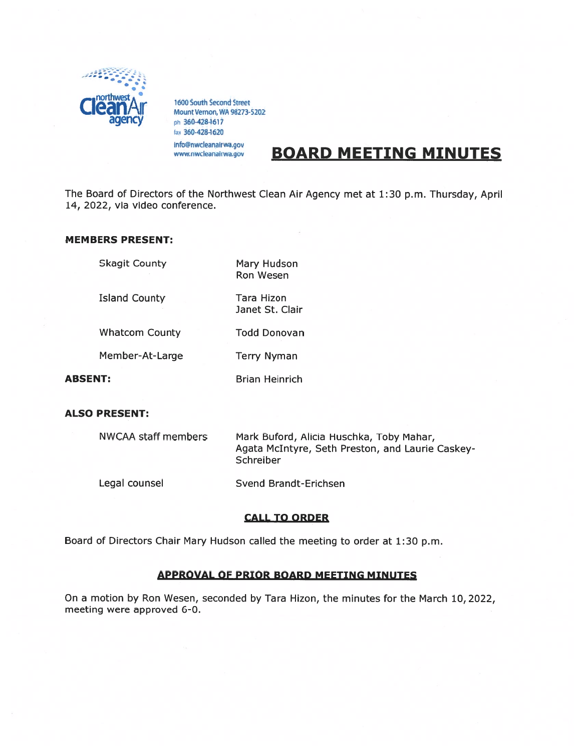

1600 South Second Street<br>Mount Vernon, WA 98273-5202 ph 360-428-1617 360-428-1620 info@nwcleanairwa.gov www.nwcleanairwa.gov

# BOARD MEETING MINUTES

The Board of Directors of the Northwest Clean Air Agency met at 1:30 p.m. Thursday, April 14, 2022, via video conference.

Janet St. Clair

#### MEMBERS PRESENT:

Skagit County Mary Hudson

Ron Wesen

Island County Tara Hizon

Whatcom County Todd Donovan

Member-At-Large Terry Nyman

ABSENT: Brian Heinrich

#### ALSO PRESENT:

| <b>NWCAA staff members</b> | Mark Buford, Alicia Huschka, Toby Mahar,<br>Agata McIntyre, Seth Preston, and Laurie Caskey-<br>Schreiber |
|----------------------------|-----------------------------------------------------------------------------------------------------------|
| Legal counsel              | Svend Brandt-Erichsen                                                                                     |

#### CALL TO ORDER

Board of Directors Chair Mary Hudson called the meeting to order at 1:30 p.m.

### APPROVAL OF PRIOR BOARD MEETING MINUTES

On <sup>a</sup> motion by Ron Wesen, seconded by Tara Hizon, the minutes for the March 10, 2022, meeting were approved 6-0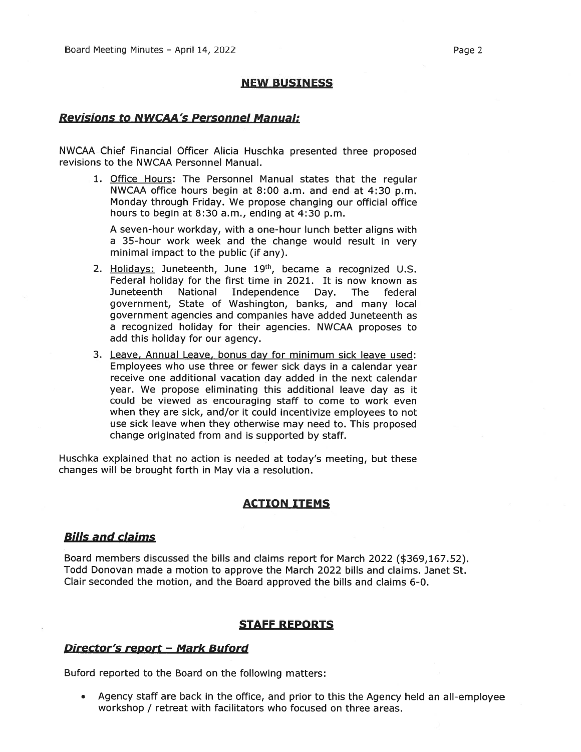#### NEW BUSINESS

## Revisions to NWCAA's Personnel Manual:

NWCAA Chief Financial Officer Alicia Huschka presented three proposed revisions to the NWCAA Personnel Manual.

1. Office Hours: The Personnel Manual states that the regular NWCAA office hours begin at 8:00 a.m. and end at 4:30 p.m. Monday through Friday. We propose changing our official office hours to begin at 8:30 a.m., ending at 4:30 p.m.

A seven-hour workday, with <sup>a</sup> one-hour lunch better aligns with <sup>a</sup> 35-hour work week and the change would result in very minimal impact to the public (if any).

- 2. Holidays: Juneteenth, June 19<sup>th</sup>, became a recognized U.S. Federal holiday for the first time in 2021. It is now known as Juneteenth National Independence Day. The federal government, State of Washington, banks, and many local governmen<sup>t</sup> agencies and companies have added Juneteenth as <sup>a</sup> recognized holiday for their agencies. NWCAA proposes to add this holiday for our agency.
- 3. Leave, Annual Leave, bonus day for minimum sick leave used: Employees who use three or fewer sick days in <sup>a</sup> calendar year receive one additional vacation day added in the next calendar year. We propose eliminating this additional leave day as it could be viewed as encouraging staff to come to work even when they are sick, and/or it could incentivize employees to not use sick leave when they otherwise may need to. This proposed change originated from and is supported by staff.

Huschka explained that no action is needed at today's meeting, but these changes will be brought forth in May via <sup>a</sup> resolution.

## ACTION ITEMS

#### Bills and claims

Board members discussed the bills and claims repor<sup>t</sup> for March 2022 (\$369,167.52). Todd Donovan made <sup>a</sup> motion to approve the March 2022 bills and claims. Janet St. Clair seconded the motion, and the Board approved the bills and claims 6-0.

#### STAFF REPORTS

## Director's report - Mark Buford

Buford reported to the Board on the following matters:

• Agency staff are back in the office, and prior to this the Agency held an all-employee workshop / retreat with facilitators who focused on three areas.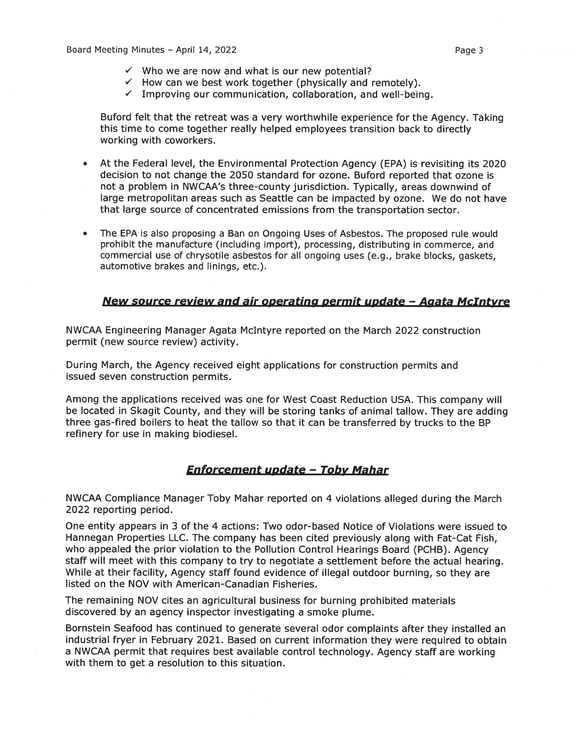- $\checkmark$  How can we best work together (physically and remotely).
- $\checkmark$  Improving our communication, collaboration, and well-being.

Buford felt that the retreat was <sup>a</sup> very worthwhile experience for the Agency. Taking this time to come together really helped employees transition back to directly working with coworkers.

- • At the Federal level, the Environmental Protection Agency (EPA) is revisiting its 2020 decision to not change the 2050 standard for ozone. Buford reported that ozone is not <sup>a</sup> problem in NWCAA's three-county jurisdiction. Typically, areas downwind of large metropolitan areas such as Seattle can be impacted by ozone. We do not have that large source of concentrated emissions from the transportation sector.
- • The EPA is also proposing <sup>a</sup> Ban on Ongoing Uses of Asbestos. The proposed rule would prohibit the manufacture (including import), processing, distributing in commerce, and commercial use of chrysotile asbestos for all ongoing uses (e.g., brake blocks, gaskets, automotive brakes and linings, etc.).

## New source review and air onerating permit update — Agata McIntyre

NWCAA Engineering Manager Agata McIntyre reported on the March 2022 construction permit (new source review) activity.

During March, the Agency received eight applications for construction permits and issued seven construction permits.

Among the applications received was one for West Coast Reduction USA. This company will be located in Skagit County, and they will be storing tanks of animal tallow. They are adding three gas-fired boilers to heat the tallow so that it can be transferred by trucks to the BP refinery for use in making biodiesel.

## Enforcement update — Toby Mahar

NWCAA Compliance Manager Toby Mahar reported on 4 violations alleged during the March 2022 reporting period.

One entity appears in 3 of the 4 actions: Two odor-based Notice of Violations were issued to Hannegan Properties LLC. The company has been cited previously along with Fat-Cat Fish, who appealed the prior violation to the Pollution Control Hearings Board (PCHB). Agency staff will meet with this company to try to negotiate <sup>a</sup> settlement before the actual hearing. While at their facility, Agency staff found evidence of illegal outdoor burning, so they are listed on the NOV with American-Canadian Fisheries.

The remaining NOV cites an agricultural business for burning prohibited materials discovered by an agency inspector investigating <sup>a</sup> smoke plume.

Bornstein Seafood has continued to generate several odor complaints after they installed an industrial fryer in February 2021. Based on current information they were required to obtain <sup>a</sup> NWCAA permit that requires best available control technology. Agency staff are working with them to ge<sup>t</sup> <sup>a</sup> resolution to this situation.